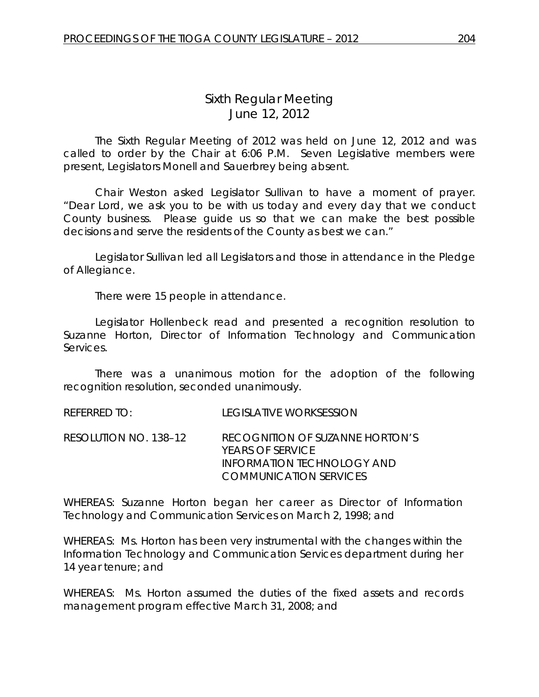# *Sixth Regular Meeting* June 12, 2012

The Sixth Regular Meeting of 2012 was held on June 12, 2012 and was called to order by the Chair at 6:06 P.M. Seven Legislative members were present, Legislators Monell and Sauerbrey being absent.

Chair Weston asked Legislator Sullivan to have a moment of prayer. "Dear Lord, we ask you to be with us today and every day that we conduct County business. Please guide us so that we can make the best possible decisions and serve the residents of the County as best we can."

Legislator Sullivan led all Legislators and those in attendance in the Pledge of Allegiance.

There were 15 people in attendance.

Legislator Hollenbeck read and presented a recognition resolution to Suzanne Horton, Director of Information Technology and Communication Services.

There was a unanimous motion for the adoption of the following recognition resolution, seconded unanimously.

REFERRED TO: LEGISLATIVE WORKSESSION

RESOLUTION NO. 138–12 *RECOGNITION OF SUZANNE HORTON'S YEARS OF SERVICE INFORMATION TECHNOLOGY AND COMMUNICATION SERVICES*

WHEREAS: Suzanne Horton began her career as Director of Information Technology and Communication Services on March 2, 1998; and

WHEREAS: Ms. Horton has been very instrumental with the changes within the Information Technology and Communication Services department during her 14 year tenure; and

WHEREAS: Ms. Horton assumed the duties of the fixed assets and records management program effective March 31, 2008; and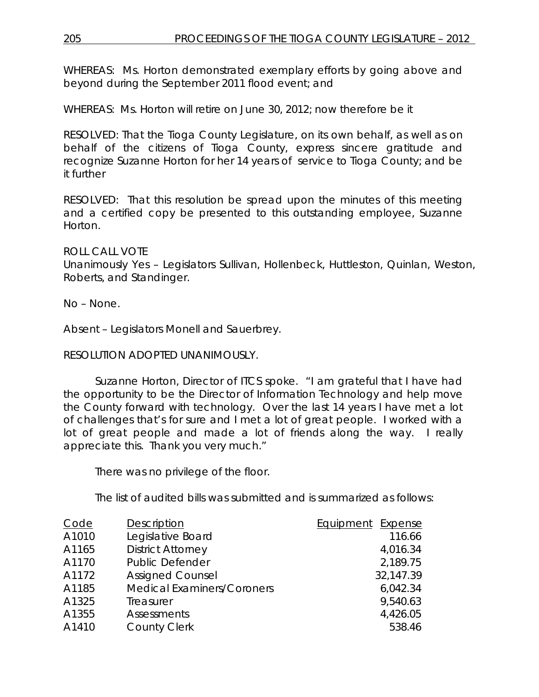WHEREAS: Ms. Horton demonstrated exemplary efforts by going above and beyond during the September 2011 flood event; and

WHEREAS: Ms. Horton will retire on June 30, 2012; now therefore be it

RESOLVED: That the Tioga County Legislature, on its own behalf, as well as on behalf of the citizens of Tioga County, express sincere gratitude and recognize Suzanne Horton for her 14 years of service to Tioga County; and be it further

RESOLVED: That this resolution be spread upon the minutes of this meeting and a certified copy be presented to this outstanding employee, Suzanne Horton.

# ROLL CALL VOTE

Unanimously Yes – Legislators Sullivan, Hollenbeck, Huttleston, Quinlan, Weston, Roberts, and Standinger.

No – None.

Absent – Legislators Monell and Sauerbrey.

## RESOLUTION ADOPTED UNANIMOUSLY.

Suzanne Horton, Director of ITCS spoke. "I am grateful that I have had the opportunity to be the Director of Information Technology and help move the County forward with technology. Over the last 14 years I have met a lot of challenges that's for sure and I met a lot of great people. I worked with a lot of great people and made a lot of friends along the way. I really appreciate this. Thank you very much."

There was no privilege of the floor.

The list of audited bills was submitted and is summarized as follows:

| Code  | Description                       | Equipment Expense |
|-------|-----------------------------------|-------------------|
| A1010 | Legislative Board                 | 116.66            |
| A1165 | <b>District Attorney</b>          | 4,016.34          |
| A1170 | <b>Public Defender</b>            | 2,189.75          |
| A1172 | <b>Assigned Counsel</b>           | 32,147.39         |
| A1185 | <b>Medical Examiners/Coroners</b> | 6,042.34          |
| A1325 | Treasurer                         | 9,540.63          |
| A1355 | Assessments                       | 4,426.05          |
| A1410 | <b>County Clerk</b>               | 538.46            |
|       |                                   |                   |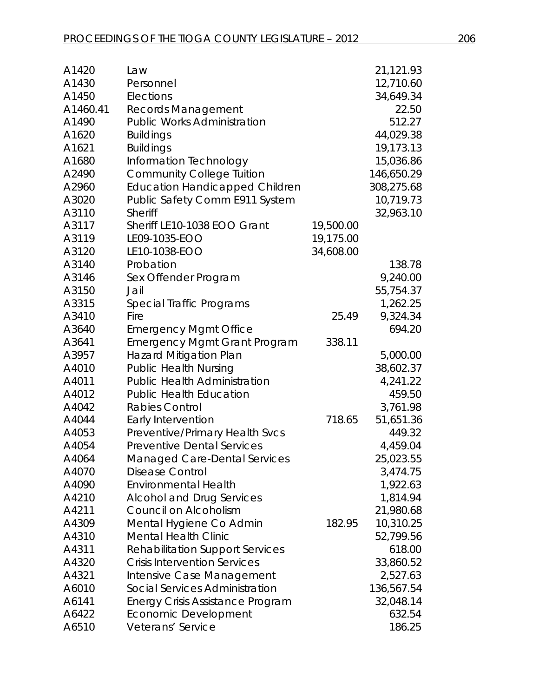| A1420    | Law                                     |           | 21,121.93  |
|----------|-----------------------------------------|-----------|------------|
| A1430    | Personnel                               |           | 12,710.60  |
| A1450    | Elections                               |           | 34,649.34  |
| A1460.41 | <b>Records Management</b>               |           | 22.50      |
| A1490    | <b>Public Works Administration</b>      |           | 512.27     |
| A1620    | <b>Buildings</b>                        |           | 44,029.38  |
| A1621    | <b>Buildings</b>                        |           | 19,173.13  |
| A1680    | Information Technology                  |           | 15,036.86  |
| A2490    | <b>Community College Tuition</b>        |           | 146,650.29 |
| A2960    | <b>Education Handicapped Children</b>   |           | 308,275.68 |
| A3020    | Public Safety Comm E911 System          |           | 10,719.73  |
| A3110    | <b>Sheriff</b>                          |           | 32,963.10  |
| A3117    | Sheriff LE10-1038 EOO Grant             | 19,500.00 |            |
| A3119    | LE09-1035-EOO                           | 19,175.00 |            |
| A3120    | LE10-1038-EOO                           | 34,608.00 |            |
| A3140    | Probation                               |           | 138.78     |
| A3146    | Sex Offender Program                    |           | 9,240.00   |
| A3150    | Jail                                    |           | 55,754.37  |
| A3315    | Special Traffic Programs                |           | 1,262.25   |
| A3410    | Fire                                    | 25.49     | 9,324.34   |
| A3640    | <b>Emergency Mgmt Office</b>            |           | 694.20     |
| A3641    | <b>Emergency Mgmt Grant Program</b>     | 338.11    |            |
| A3957    | <b>Hazard Mitigation Plan</b>           |           | 5,000.00   |
| A4010    | <b>Public Health Nursing</b>            |           | 38,602.37  |
| A4011    | <b>Public Health Administration</b>     |           | 4,241.22   |
| A4012    | <b>Public Health Education</b>          |           | 459.50     |
| A4042    | <b>Rabies Control</b>                   |           | 3,761.98   |
| A4044    | Early Intervention                      | 718.65    | 51,651.36  |
| A4053    | Preventive/Primary Health Svcs          |           | 449.32     |
| A4054    | <b>Preventive Dental Services</b>       |           | 4,459.04   |
| A4064    | <b>Managed Care-Dental Services</b>     |           | 25,023.55  |
| A4070    | Disease Control                         |           | 3,474.75   |
| A4090    | <b>Environmental Health</b>             |           | 1,922.63   |
| A4210    | <b>Alcohol and Drug Services</b>        |           | 1,814.94   |
| A4211    | Council on Alcoholism                   |           | 21,980.68  |
| A4309    | Mental Hygiene Co Admin                 | 182.95    | 10,310.25  |
| A4310    | <b>Mental Health Clinic</b>             |           | 52,799.56  |
| A4311    | <b>Rehabilitation Support Services</b>  |           | 618.00     |
| A4320    | <b>Crisis Intervention Services</b>     |           | 33,860.52  |
| A4321    | Intensive Case Management               |           | 2,527.63   |
| A6010    | Social Services Administration          |           | 136,567.54 |
| A6141    | <b>Energy Crisis Assistance Program</b> |           | 32,048.14  |
| A6422    | Economic Development                    |           | 632.54     |
| A6510    | Veterans' Service                       |           | 186.25     |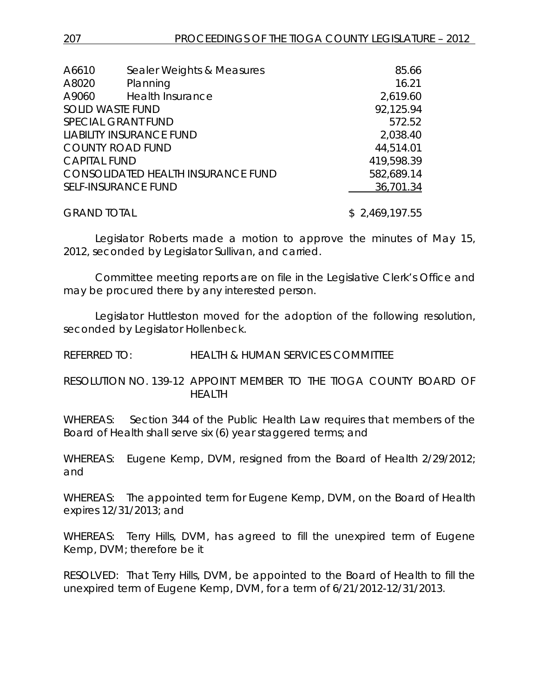| A6610               | Sealer Weights & Measures                 | 85.66          |
|---------------------|-------------------------------------------|----------------|
| A8020               | Planning                                  | 16.21          |
| A9060               | <b>Health Insurance</b>                   | 2,619.60       |
|                     | <b>SOLID WASTE FUND</b>                   | 92,125.94      |
|                     | <b>SPECIAL GRANT FUND</b>                 | 572.52         |
|                     | <b>LIABILITY INSURANCE FUND</b>           | 2,038.40       |
|                     | <b>COUNTY ROAD FUND</b>                   | 44,514.01      |
| <b>CAPITAL FUND</b> |                                           | 419,598.39     |
|                     | <b>CONSOLIDATED HEALTH INSURANCE FUND</b> | 582,689.14     |
|                     | <b>SELF-INSURANCE FUND</b>                | 36,701.34      |
| <b>GRAND TOTAL</b>  |                                           | \$2,469,197.55 |

Legislator Roberts made a motion to approve the minutes of May 15, 2012, seconded by Legislator Sullivan, and carried.

Committee meeting reports are on file in the Legislative Clerk's Office and may be procured there by any interested person.

Legislator Huttleston moved for the adoption of the following resolution, seconded by Legislator Hollenbeck.

REFERRED TO: HEALTH & HUMAN SERVICES COMMITTEE

RESOLUTION NO. 139-12 *APPOINT MEMBER TO THE TIOGA COUNTY BOARD OF HEALTH*

WHEREAS: Section 344 of the Public Health Law requires that members of the Board of Health shall serve six (6) year staggered terms; and

WHEREAS: Eugene Kemp, DVM, resigned from the Board of Health 2/29/2012; and

WHEREAS: The appointed term for Eugene Kemp, DVM, on the Board of Health expires 12/31/2013; and

WHEREAS: Terry Hills, DVM, has agreed to fill the unexpired term of Eugene Kemp, DVM; therefore be it

RESOLVED: That Terry Hills, DVM, be appointed to the Board of Health to fill the unexpired term of Eugene Kemp, DVM, for a term of 6/21/2012-12/31/2013.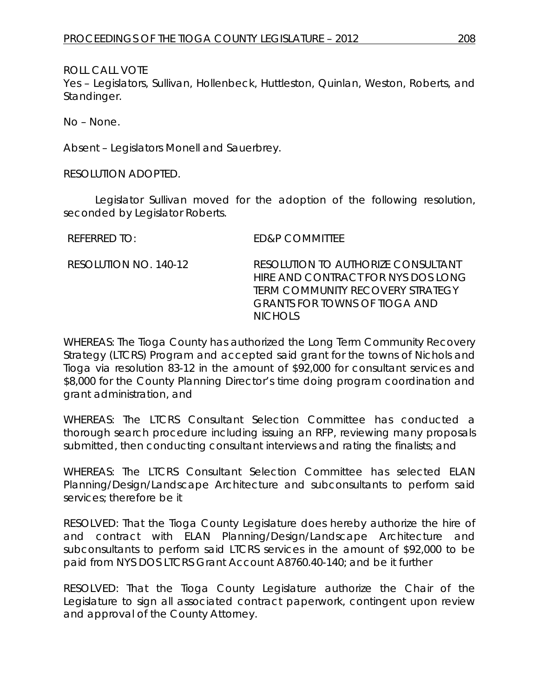ROLL CALL VOTE Yes – Legislators, Sullivan, Hollenbeck, Huttleston, Quinlan, Weston, Roberts, and Standinger.

No – None.

Absent – Legislators Monell and Sauerbrey.

RESOLUTION ADOPTED.

Legislator Sullivan moved for the adoption of the following resolution, seconded by Legislator Roberts.

| $R$ FFFRRFD TO:       | ED&P COMMITTEE                                                                                                                                                  |
|-----------------------|-----------------------------------------------------------------------------------------------------------------------------------------------------------------|
| RESOLUTION NO. 140-12 | RESOLUTION TO AUTHORIZE CONSULTANT<br>HIRE AND CONTRACT FOR NYS DOS LONG<br><b>TERM COMMUNITY RECOVERY STRATEGY</b><br>GRANTS FOR TOWNS OF TIOGA AND<br>NICHOLS |

WHEREAS: The Tioga County has authorized the Long Term Community Recovery Strategy (LTCRS) Program and accepted said grant for the towns of Nichols and Tioga via resolution 83-12 in the amount of \$92,000 for consultant services and \$8,000 for the County Planning Director's time doing program coordination and grant administration, and

WHEREAS: The LTCRS Consultant Selection Committee has conducted a thorough search procedure including issuing an RFP, reviewing many proposals submitted, then conducting consultant interviews and rating the finalists; and

WHEREAS: The LTCRS Consultant Selection Committee has selected ELAN Planning/Design/Landscape Architecture and subconsultants to perform said services; therefore be it

RESOLVED: That the Tioga County Legislature does hereby authorize the hire of and contract with ELAN Planning/Design/Landscape Architecture and subconsultants to perform said LTCRS services in the amount of \$92,000 to be paid from NYS DOS LTCRS Grant Account A8760.40-140; and be it further

RESOLVED: That the Tioga County Legislature authorize the Chair of the Legislature to sign all associated contract paperwork, contingent upon review and approval of the County Attorney.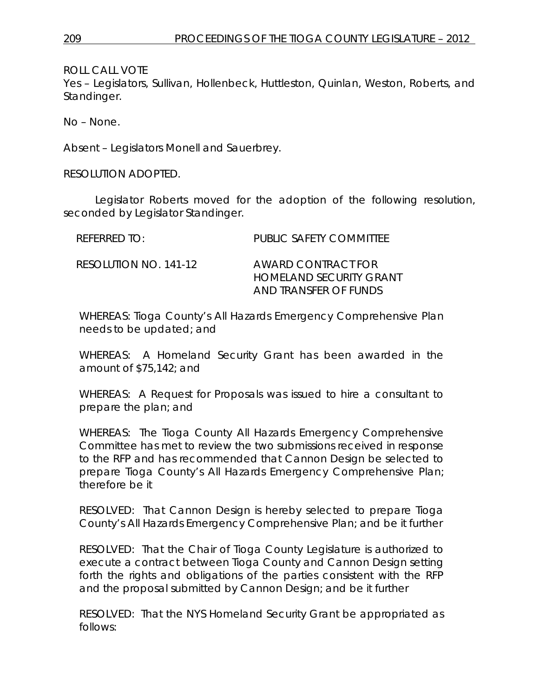Yes – Legislators, Sullivan, Hollenbeck, Huttleston, Quinlan, Weston, Roberts, and Standinger.

No – None.

Absent – Legislators Monell and Sauerbrey.

RESOLUTION ADOPTED.

Legislator Roberts moved for the adoption of the following resolution, seconded by Legislator Standinger.

| $R$ FFFRRFD TO:       | PUBLIC SAFETY COMMITTEE                                                |
|-----------------------|------------------------------------------------------------------------|
| RESOLUTION NO. 141-12 | AWARD CONTRACT FOR<br>HOMELAND SECURITY GRANT<br>AND TRANSFER OF FUNDS |

WHEREAS: Tioga County's All Hazards Emergency Comprehensive Plan needs to be updated; and

WHEREAS: A Homeland Security Grant has been awarded in the amount of \$75,142; and

WHEREAS: A Request for Proposals was issued to hire a consultant to prepare the plan; and

WHEREAS: The Tioga County All Hazards Emergency Comprehensive Committee has met to review the two submissions received in response to the RFP and has recommended that Cannon Design be selected to prepare Tioga County's All Hazards Emergency Comprehensive Plan; therefore be it

RESOLVED: That Cannon Design is hereby selected to prepare Tioga County's All Hazards Emergency Comprehensive Plan; and be it further

RESOLVED: That the Chair of Tioga County Legislature is authorized to execute a contract between Tioga County and Cannon Design setting forth the rights and obligations of the parties consistent with the RFP and the proposal submitted by Cannon Design; and be it further

RESOLVED: That the NYS Homeland Security Grant be appropriated as follows: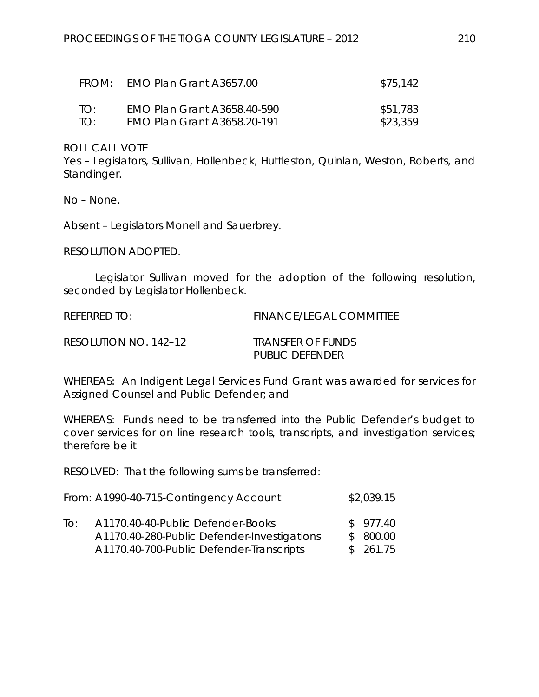| FROM:  | EMO Plan Grant A3657.00            | \$75.142 |
|--------|------------------------------------|----------|
| $\Box$ | <b>EMO Plan Grant A3658.40-590</b> | \$51,783 |
| $\Box$ | <b>EMO Plan Grant A3658.20-191</b> | \$23,359 |

Yes – Legislators, Sullivan, Hollenbeck, Huttleston, Quinlan, Weston, Roberts, and Standinger.

No – None.

Absent – Legislators Monell and Sauerbrey.

RESOLUTION ADOPTED.

Legislator Sullivan moved for the adoption of the following resolution, seconded by Legislator Hollenbeck.

REFERRED TO: FINANCE/LEGAL COMMITTEE

RESOLUTION NO. 142–12 *TRANSFER OF FUNDS*

*PUBLIC DEFENDER*

WHEREAS: An Indigent Legal Services Fund Grant was awarded for services for Assigned Counsel and Public Defender; and

WHEREAS: Funds need to be transferred into the Public Defender's budget to cover services for on line research tools, transcripts, and investigation services; therefore be it

RESOLVED: That the following sums be transferred:

| From: A1990-40-715-Contingency Account | \$2,039.15 |
|----------------------------------------|------------|
|----------------------------------------|------------|

| To: | A1170.40-40-Public Defender-Books           | \$977.40  |
|-----|---------------------------------------------|-----------|
|     | A1170.40-280-Public Defender-Investigations | \$ 800.00 |
|     | A1170.40-700-Public Defender-Transcripts    | \$261.75  |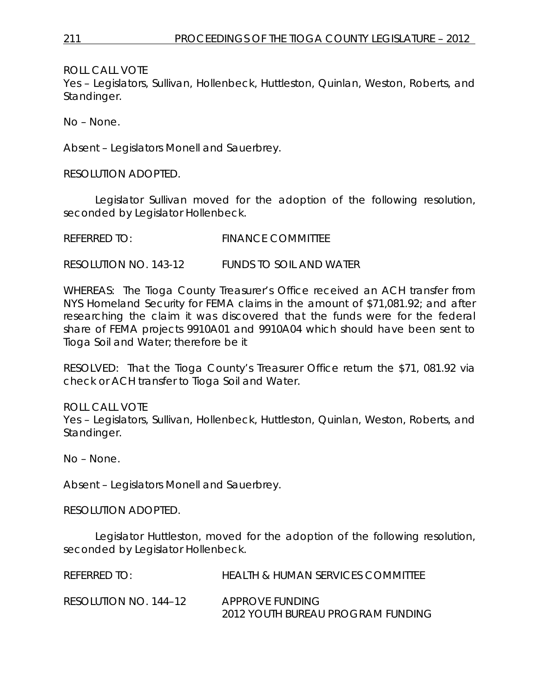Yes – Legislators, Sullivan, Hollenbeck, Huttleston, Quinlan, Weston, Roberts, and Standinger.

No – None.

Absent – Legislators Monell and Sauerbrey.

RESOLUTION ADOPTED.

Legislator Sullivan moved for the adoption of the following resolution, seconded by Legislator Hollenbeck.

REFERRED TO: FINANCE COMMITTEE

RESOLUTION NO. 143-12 *FUNDS TO SOIL AND WATER*

WHEREAS: The Tioga County Treasurer's Office received an ACH transfer from NYS Homeland Security for FEMA claims in the amount of \$71,081.92; and after researching the claim it was discovered that the funds were for the federal share of FEMA projects 9910A01 and 9910A04 which should have been sent to Tioga Soil and Water; therefore be it

RESOLVED: That the Tioga County's Treasurer Office return the \$71, 081.92 via check or ACH transfer to Tioga Soil and Water.

ROLL CALL VOTE Yes – Legislators, Sullivan, Hollenbeck, Huttleston, Quinlan, Weston, Roberts, and Standinger.

No – None.

Absent – Legislators Monell and Sauerbrey.

RESOLUTION ADOPTED.

Legislator Huttleston, moved for the adoption of the following resolution, seconded by Legislator Hollenbeck.

| REFERRED TO:          | <b>HEALTH &amp; HUMAN SERVICES COMMITTEE</b>         |
|-----------------------|------------------------------------------------------|
| RESOLUTION NO. 144–12 | APPROVE FUNDING<br>2012 YOUTH BUREAU PROGRAM FUNDING |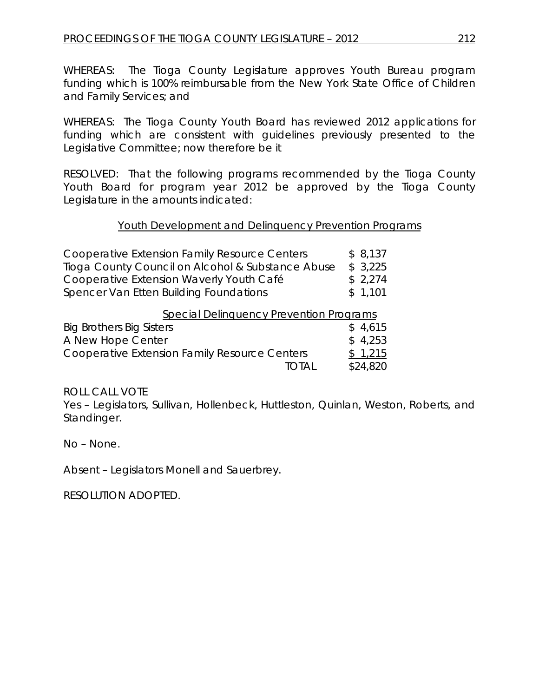WHEREAS: The Tioga County Legislature approves Youth Bureau program funding which is 100% reimbursable from the New York State Office of Children and Family Services; and

WHEREAS: The Tioga County Youth Board has reviewed 2012 applications for funding which are consistent with guidelines previously presented to the Legislative Committee; now therefore be it

RESOLVED: That the following programs recommended by the Tioga County Youth Board for program year 2012 be approved by the Tioga County Legislature in the amounts indicated:

#### Youth Development and Delinquency Prevention Programs

| Cooperative Extension Family Resource Centers     | \$8,137 |
|---------------------------------------------------|---------|
| Tioga County Council on Alcohol & Substance Abuse | \$3,225 |
| Cooperative Extension Waverly Youth Café          | \$2,274 |
| Spencer Van Etten Building Foundations            | \$1,101 |

| Special Delinguency Prevention Programs                  |          |
|----------------------------------------------------------|----------|
| <b>Big Brothers Big Sisters</b>                          | \$4,615  |
| A New Hope Center                                        | \$4,253  |
| Cooperative Extension Family Resource Centers<br>\$1,215 |          |
| TOTAL                                                    | \$24,820 |

ROLL CALL VOTE

Yes – Legislators, Sullivan, Hollenbeck, Huttleston, Quinlan, Weston, Roberts, and Standinger.

No – None.

Absent – Legislators Monell and Sauerbrey.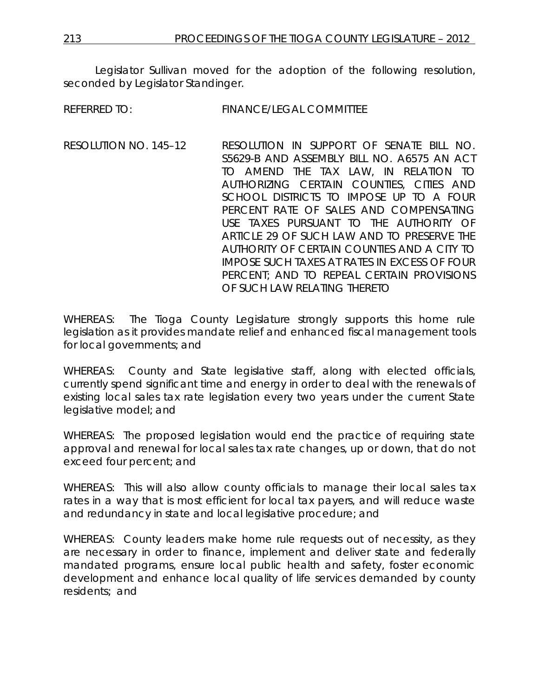Legislator Sullivan moved for the adoption of the following resolution, seconded by Legislator Standinger.

| <b>REFERRED TO:</b> | <b>FINANCE/LEGAL COMMITTEE</b> |
|---------------------|--------------------------------|
|                     |                                |

RESOLUTION NO. 145–12 *RESOLUTION IN SUPPORT OF SENATE BILL NO. S5629-B AND ASSEMBLY BILL NO. A6575 AN ACT TO AMEND THE TAX LAW, IN RELATION TO AUTHORIZING CERTAIN COUNTIES, CITIES AND SCHOOL DISTRICTS TO IMPOSE UP TO A FOUR PERCENT RATE OF SALES AND COMPENSATING USE TAXES PURSUANT TO THE AUTHORITY OF ARTICLE 29 OF SUCH LAW AND TO PRESERVE THE AUTHORITY OF CERTAIN COUNTIES AND A CITY TO IMPOSE SUCH TAXES AT RATES IN EXCESS OF FOUR PERCENT; AND TO REPEAL CERTAIN PROVISIONS OF SUCH LAW RELATING THERETO* 

WHEREAS: The Tioga County Legislature strongly supports this home rule legislation as it provides mandate relief and enhanced fiscal management tools for local governments; and

WHEREAS: County and State legislative staff, along with elected officials, currently spend significant time and energy in order to deal with the renewals of existing local sales tax rate legislation every two years under the current State legislative model; and

WHEREAS: The proposed legislation would end the practice of requiring state approval and renewal for local sales tax rate changes, up or down, that do not exceed four percent; and

WHEREAS: This will also allow county officials to manage their local sales tax rates in a way that is most efficient for local tax payers, and will reduce waste and redundancy in state and local legislative procedure; and

WHEREAS: County leaders make home rule requests out of necessity, as they are necessary in order to finance, implement and deliver state and federally mandated programs, ensure local public health and safety, foster economic development and enhance local quality of life services demanded by county residents; and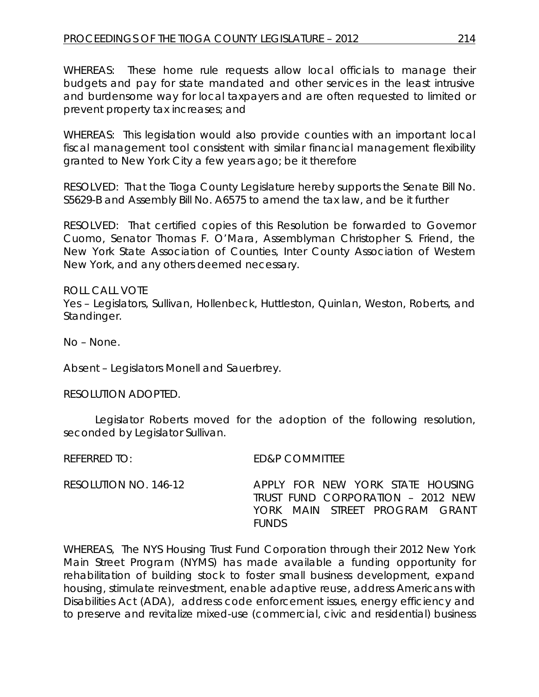WHEREAS: These home rule requests allow local officials to manage their budgets and pay for state mandated and other services in the least intrusive and burdensome way for local taxpayers and are often requested to limited or prevent property tax increases; and

WHEREAS: This legislation would also provide counties with an important local fiscal management tool consistent with similar financial management flexibility granted to New York City a few years ago; be it therefore

RESOLVED: That the Tioga County Legislature hereby supports the Senate Bill No. S5629-B and Assembly Bill No. A6575 to amend the tax law, and be it further

RESOLVED: That certified copies of this Resolution be forwarded to Governor Cuomo, Senator Thomas F. O'Mara, Assemblyman Christopher S. Friend, the New York State Association of Counties, Inter County Association of Western New York, and any others deemed necessary.

ROLL CALL VOTE Yes – Legislators, Sullivan, Hollenbeck, Huttleston, Quinlan, Weston, Roberts, and Standinger.

No – None.

Absent – Legislators Monell and Sauerbrey.

RESOLUTION ADOPTED.

Legislator Roberts moved for the adoption of the following resolution, seconded by Legislator Sullivan.

REFERRED TO: ED&P COMMITTEE

RESOLUTION NO. 146-12 *APPLY FOR NEW YORK STATE HOUSING TRUST FUND CORPORATION – 2012 NEW YORK MAIN STREET PROGRAM GRANT FUNDS*

WHEREAS, The NYS Housing Trust Fund Corporation through their 2012 New York Main Street Program (NYMS) has made available a funding opportunity for rehabilitation of building stock to foster small business development, expand housing, stimulate reinvestment, enable adaptive reuse, address Americans with Disabilities Act (ADA), address code enforcement issues, energy efficiency and to preserve and revitalize mixed-use (commercial, civic and residential) business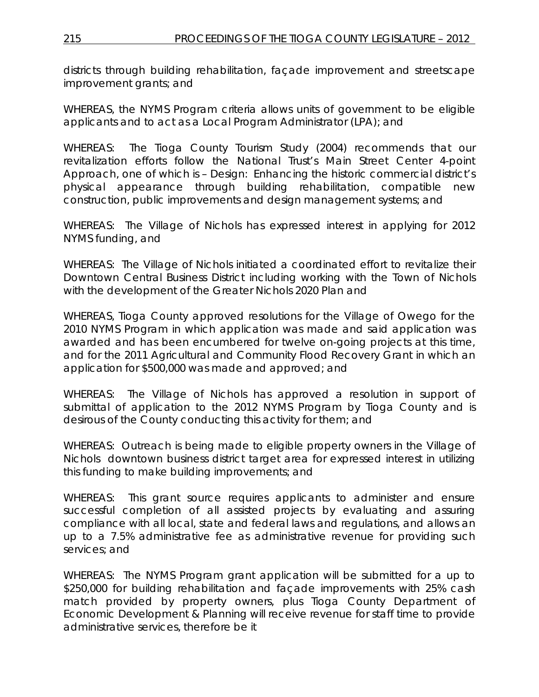districts through building rehabilitation, façade improvement and streetscape improvement grants; and

WHEREAS, the NYMS Program criteria allows units of government to be eligible applicants and to act as a Local Program Administrator (LPA); and

WHEREAS: The Tioga County Tourism Study (2004) recommends that our revitalization efforts follow the National Trust's Main Street Center 4-point Approach, one of which is – Design: Enhancing the historic commercial district's physical appearance through building rehabilitation, compatible new construction, public improvements and design management systems; and

WHEREAS: The Village of Nichols has expressed interest in applying for 2012 NYMS funding, and

WHEREAS: The Village of Nichols initiated a coordinated effort to revitalize their Downtown Central Business District including working with the Town of Nichols with the development of the Greater Nichols 2020 Plan and

WHEREAS, Tioga County approved resolutions for the Village of Owego for the 2010 NYMS Program in which application was made and said application was awarded and has been encumbered for twelve on-going projects at this time, and for the 2011 Agricultural and Community Flood Recovery Grant in which an application for \$500,000 was made and approved; and

WHEREAS: The Village of Nichols has approved a resolution in support of submittal of application to the 2012 NYMS Program by Tioga County and is desirous of the County conducting this activity for them; and

WHEREAS: Outreach is being made to eligible property owners in the Village of Nichols downtown business district target area for expressed interest in utilizing this funding to make building improvements; and

WHEREAS: This grant source requires applicants to administer and ensure successful completion of all assisted projects by evaluating and assuring compliance with all local, state and federal laws and regulations, and allows an up to a 7.5% administrative fee as administrative revenue for providing such services; and

WHEREAS: The NYMS Program grant application will be submitted for a up to \$250,000 for building rehabilitation and façade improvements with 25% cash match provided by property owners, plus Tioga County Department of Economic Development & Planning will receive revenue for staff time to provide administrative services, therefore be it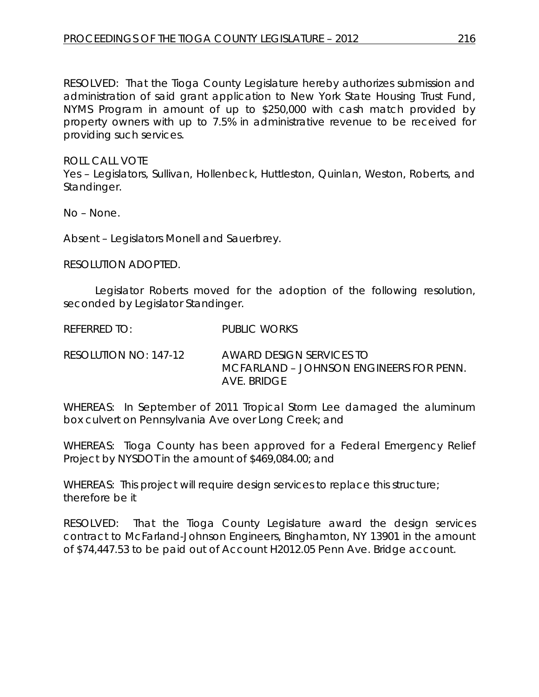RESOLVED: That the Tioga County Legislature hereby authorizes submission and administration of said grant application to New York State Housing Trust Fund, NYMS Program in amount of up to \$250,000 with cash match provided by property owners with up to 7.5% in administrative revenue to be received for providing such services.

ROLL CALL VOTE Yes – Legislators, Sullivan, Hollenbeck, Huttleston, Quinlan, Weston, Roberts, and Standinger.

No – None.

Absent – Legislators Monell and Sauerbrey.

RESOLUTION ADOPTED.

Legislator Roberts moved for the adoption of the following resolution, seconded by Legislator Standinger.

REFERRED TO: PUBLIC WORKS

RESOLUTION NO: 147-12 *AWARD DESIGN SERVICES TO MCFARLAND – JOHNSON ENGINEERS FOR PENN. AVE. BRIDGE*

WHEREAS: In September of 2011 Tropical Storm Lee damaged the aluminum box culvert on Pennsylvania Ave over Long Creek; and

WHEREAS: Tioga County has been approved for a Federal Emergency Relief Project by NYSDOT in the amount of \$469,084.00; and

WHEREAS: This project will require design services to replace this structure; therefore be it

RESOLVED: That the Tioga County Legislature award the design services contract to McFarland-Johnson Engineers, Binghamton, NY 13901 in the amount of \$74,447.53 to be paid out of Account H2012.05 Penn Ave. Bridge account.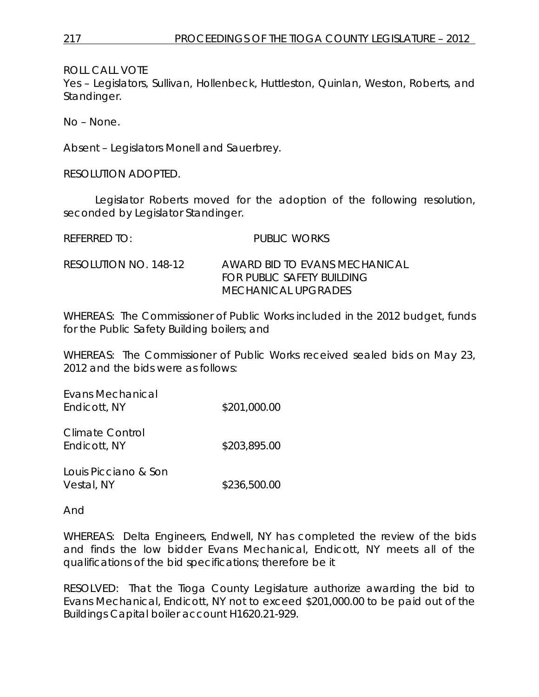Yes – Legislators, Sullivan, Hollenbeck, Huttleston, Quinlan, Weston, Roberts, and Standinger.

No – None.

Absent – Legislators Monell and Sauerbrey.

RESOLUTION ADOPTED.

Legislator Roberts moved for the adoption of the following resolution, seconded by Legislator Standinger.

REFERRED TO: PUBLIC WORKS

RESOLUTION NO. 148-12 *AWARD BID TO EVANS MECHANICAL FOR PUBLIC SAFETY BUILDING MECHANICAL UPGRADES*

WHEREAS: The Commissioner of Public Works included in the 2012 budget, funds for the Public Safety Building boilers; and

WHEREAS: The Commissioner of Public Works received sealed bids on May 23, 2012 and the bids were as follows:

| Evans Mechanical<br>Endicott, NY       | \$201,000.00 |
|----------------------------------------|--------------|
| <b>Climate Control</b><br>Endicott, NY | \$203,895.00 |
| Louis Picciano & Son                   |              |

Vestal, NY \$236,500.00

And

WHEREAS: Delta Engineers, Endwell, NY has completed the review of the bids and finds the low bidder Evans Mechanical, Endicott, NY meets all of the qualifications of the bid specifications; therefore be it

RESOLVED: That the Tioga County Legislature authorize awarding the bid to Evans Mechanical, Endicott, NY not to exceed \$201,000.00 to be paid out of the Buildings Capital boiler account H1620.21-929.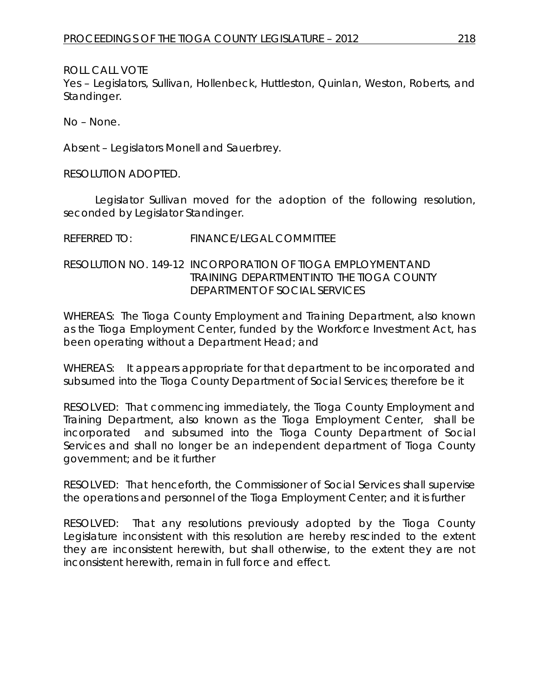Yes – Legislators, Sullivan, Hollenbeck, Huttleston, Quinlan, Weston, Roberts, and Standinger.

No – None.

Absent – Legislators Monell and Sauerbrey.

RESOLUTION ADOPTED.

Legislator Sullivan moved for the adoption of the following resolution, seconded by Legislator Standinger.

| <b>REFERRED TO:</b> | <b>FINANCE/LEGAL COMMITTEE</b> |  |
|---------------------|--------------------------------|--|

#### RESOLUTION NO. 149-12 *INCORPORATION OF TIOGA EMPLOYMENT AND TRAINING DEPARTMENT INTO THE TIOGA COUNTY DEPARTMENT OF SOCIAL SERVICES*

WHEREAS: The Tioga County Employment and Training Department, also known as the Tioga Employment Center, funded by the Workforce Investment Act, has been operating without a Department Head; and

WHEREAS: It appears appropriate for that department to be incorporated and subsumed into the Tioga County Department of Social Services; therefore be it

RESOLVED: That commencing immediately, the Tioga County Employment and Training Department, also known as the Tioga Employment Center, shall be incorporated and subsumed into the Tioga County Department of Social Services and shall no longer be an independent department of Tioga County government; and be it further

RESOLVED: That henceforth, the Commissioner of Social Services shall supervise the operations and personnel of the Tioga Employment Center; and it is further

RESOLVED: That any resolutions previously adopted by the Tioga County Legislature inconsistent with this resolution are hereby rescinded to the extent they are inconsistent herewith, but shall otherwise, to the extent they are not inconsistent herewith, remain in full force and effect.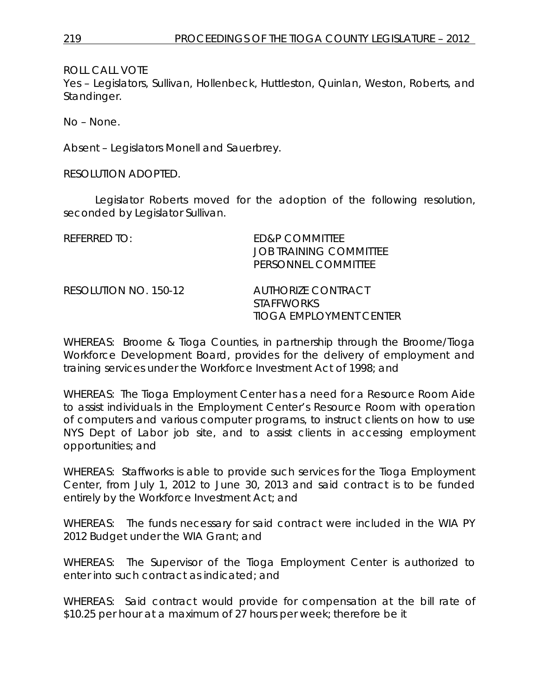Yes – Legislators, Sullivan, Hollenbeck, Huttleston, Quinlan, Weston, Roberts, and Standinger.

No – None.

Absent – Legislators Monell and Sauerbrey.

RESOLUTION ADOPTED.

Legislator Roberts moved for the adoption of the following resolution, seconded by Legislator Sullivan.

| <b>REFERRED TO:</b>   | <b>ED&amp;P COMMITTEE</b>     |
|-----------------------|-------------------------------|
|                       | <b>JOB TRAINING COMMITTEE</b> |
|                       | PERSONNEL COMMITTEE           |
| RESOLUTION NO. 150-12 | AUTHORIZE CONTRACT            |
|                       | <i>STAFFWORKS</i>             |
|                       | TIOGA EMPLOYMENT CENTER       |

WHEREAS: Broome & Tioga Counties, in partnership through the Broome/Tioga Workforce Development Board, provides for the delivery of employment and training services under the Workforce Investment Act of 1998; and

WHEREAS: The Tioga Employment Center has a need for a Resource Room Aide to assist individuals in the Employment Center's Resource Room with operation of computers and various computer programs, to instruct clients on how to use NYS Dept of Labor job site, and to assist clients in accessing employment opportunities; and

WHEREAS: Staffworks is able to provide such services for the Tioga Employment Center, from July 1, 2012 to June 30, 2013 and said contract is to be funded entirely by the Workforce Investment Act; and

WHEREAS: The funds necessary for said contract were included in the WIA PY 2012 Budget under the WIA Grant; and

WHEREAS: The Supervisor of the Tioga Employment Center is authorized to enter into such contract as indicated; and

WHEREAS: Said contract would provide for compensation at the bill rate of \$10.25 per hour at a maximum of 27 hours per week; therefore be it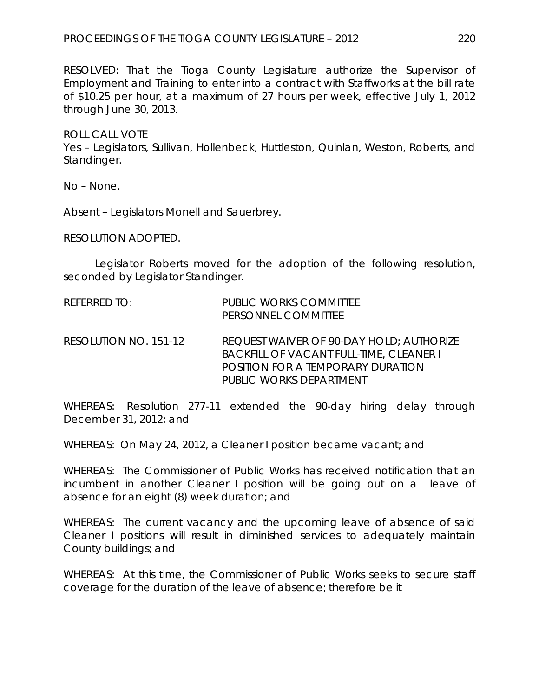RESOLVED: That the Tioga County Legislature authorize the Supervisor of Employment and Training to enter into a contract with Staffworks at the bill rate of \$10.25 per hour, at a maximum of 27 hours per week, effective July 1, 2012 through June 30, 2013.

ROLL CALL VOTE Yes – Legislators, Sullivan, Hollenbeck, Huttleston, Quinlan, Weston, Roberts, and Standinger.

No – None.

Absent – Legislators Monell and Sauerbrey.

RESOLUTION ADOPTED.

Legislator Roberts moved for the adoption of the following resolution, seconded by Legislator Standinger.

| REFERRED TO: | <b>PUBLIC WORKS COMMITTEE</b> |
|--------------|-------------------------------|
|              | PERSONNEL COMMITTEE           |
|              |                               |

RESOLUTION NO. 151-12 *REQUEST WAIVER OF 90-DAY HOLD; AUTHORIZE BACKFILL OF VACANT FULL-TIME, CLEANER I POSITION FOR A TEMPORARY DURATION PUBLIC WORKS DEPARTMENT*

WHEREAS: Resolution 277-11 extended the 90-day hiring delay through December 31, 2012; and

WHEREAS: On May 24, 2012, a Cleaner I position became vacant; and

WHEREAS: The Commissioner of Public Works has received notification that an incumbent in another Cleaner I position will be going out on a leave of absence for an eight (8) week duration; and

WHEREAS: The current vacancy and the upcoming leave of absence of said Cleaner I positions will result in diminished services to adequately maintain County buildings; and

WHEREAS: At this time, the Commissioner of Public Works seeks to secure staff coverage for the duration of the leave of absence; therefore be it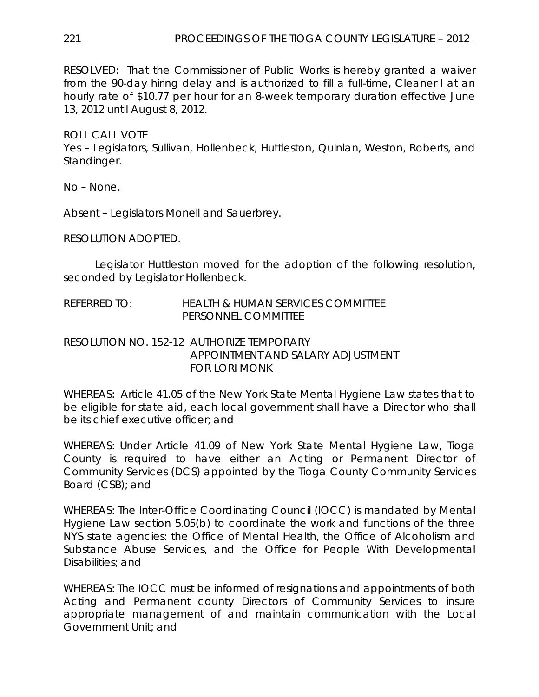RESOLVED: That the Commissioner of Public Works is hereby granted a waiver from the 90-day hiring delay and is authorized to fill a full-time, Cleaner I at an hourly rate of \$10.77 per hour for an 8-week temporary duration effective June 13, 2012 until August 8, 2012.

ROLL CALL VOTE

Yes – Legislators, Sullivan, Hollenbeck, Huttleston, Quinlan, Weston, Roberts, and Standinger.

No – None.

Absent – Legislators Monell and Sauerbrey.

RESOLUTION ADOPTED.

Legislator Huttleston moved for the adoption of the following resolution, seconded by Legislator Hollenbeck.

REFERRED TO: HEALTH & HUMAN SERVICES COMMITTEE PERSONNEL COMMITTEE

# RESOLUTION NO. 152-12 *AUTHORIZE TEMPORARY APPOINTMENT AND SALARY ADJUSTMENT FOR LORI MONK*

WHEREAS: Article 41.05 of the New York State Mental Hygiene Law states that to be eligible for state aid, each local government shall have a Director who shall be its chief executive officer; and

WHEREAS: Under Article 41.09 of New York State Mental Hygiene Law, Tioga County is required to have either an Acting or Permanent Director of Community Services (DCS) appointed by the Tioga County Community Services Board (CSB); and

WHEREAS: The Inter-Office Coordinating Council (IOCC) is mandated by Mental Hygiene Law section 5.05(b) to coordinate the work and functions of the three NYS state agencies: the Office of Mental Health, the Office of Alcoholism and Substance Abuse Services, and the Office for People With Developmental Disabilities; and

WHEREAS: The IOCC must be informed of resignations and appointments of both Acting and Permanent county Directors of Community Services to insure appropriate management of and maintain communication with the Local Government Unit; and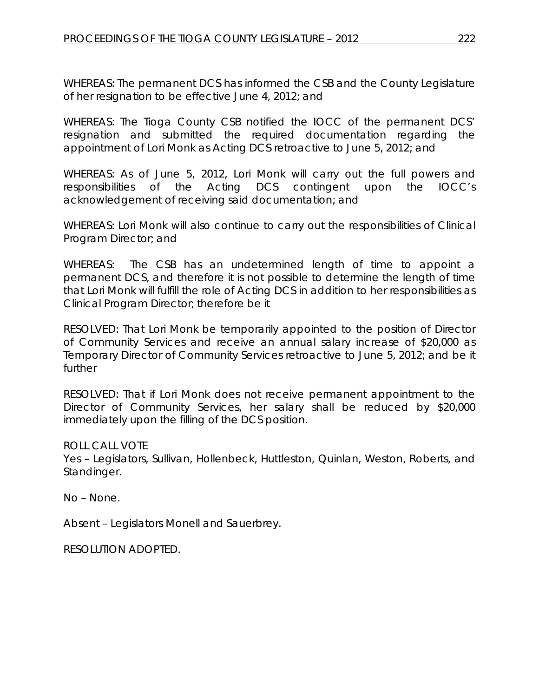WHEREAS: The permanent DCS has informed the CSB and the County Legislature of her resignation to be effective June 4, 2012; and

WHEREAS: The Tioga County CSB notified the IOCC of the permanent DCS' resignation and submitted the required documentation regarding the appointment of Lori Monk as Acting DCS retroactive to June 5, 2012; and

WHEREAS: As of June 5, 2012, Lori Monk will carry out the full powers and responsibilities of the Acting DCS contingent upon the IOCC's acknowledgement of receiving said documentation; and

WHEREAS: Lori Monk will also continue to carry out the responsibilities of Clinical Program Director; and

WHEREAS: The CSB has an undetermined length of time to appoint a permanent DCS, and therefore it is not possible to determine the length of time that Lori Monk will fulfill the role of Acting DCS in addition to her responsibilities as Clinical Program Director; therefore be it

RESOLVED: That Lori Monk be temporarily appointed to the position of Director of Community Services and receive an annual salary increase of \$20,000 as Temporary Director of Community Services retroactive to June 5, 2012; and be it further

RESOLVED: That if Lori Monk does not receive permanent appointment to the Director of Community Services, her salary shall be reduced by \$20,000 immediately upon the filling of the DCS position.

ROLL CALL VOTE

Yes – Legislators, Sullivan, Hollenbeck, Huttleston, Quinlan, Weston, Roberts, and Standinger.

No – None.

Absent – Legislators Monell and Sauerbrey.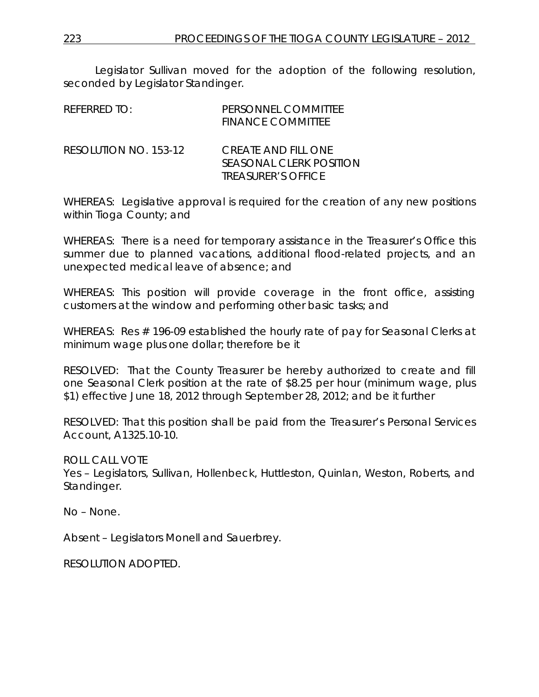Legislator Sullivan moved for the adoption of the following resolution, seconded by Legislator Standinger.

| REFERRED TO:          | PERSONNEL COMMITTEE<br><b>FINANCE COMMITTEE</b>                                           |
|-----------------------|-------------------------------------------------------------------------------------------|
| RESOLUTION NO. 153-12 | <i>CREATE AND FILL ONE</i><br>SEASONAL CLERK POSITION<br><i><b>TREASURER'S OFFICE</b></i> |

WHEREAS: Legislative approval is required for the creation of any new positions within Tioga County; and

WHEREAS: There is a need for temporary assistance in the Treasurer's Office this summer due to planned vacations, additional flood-related projects, and an unexpected medical leave of absence; and

WHEREAS: This position will provide coverage in the front office, assisting customers at the window and performing other basic tasks; and

WHEREAS: Res # 196-09 established the hourly rate of pay for Seasonal Clerks at minimum wage plus one dollar; therefore be it

RESOLVED: That the County Treasurer be hereby authorized to create and fill one Seasonal Clerk position at the rate of \$8.25 per hour (minimum wage, plus \$1) effective June 18, 2012 through September 28, 2012; and be it further

RESOLVED: That this position shall be paid from the Treasurer's Personal Services Account, A1325.10-10.

ROLL CALL VOTE

Yes – Legislators, Sullivan, Hollenbeck, Huttleston, Quinlan, Weston, Roberts, and Standinger.

No – None.

Absent – Legislators Monell and Sauerbrey.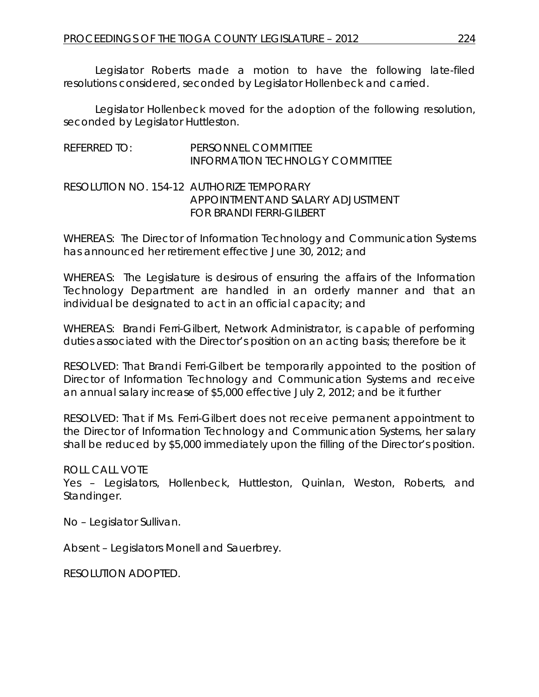Legislator Roberts made a motion to have the following late-filed resolutions considered, seconded by Legislator Hollenbeck and carried.

Legislator Hollenbeck moved for the adoption of the following resolution, seconded by Legislator Huttleston.

REFERRED TO: PERSONNEL COMMITTEE INFORMATION TECHNOLGY COMMITTEE

## RESOLUTION NO. 154-12 *AUTHORIZE TEMPORARY APPOINTMENT AND SALARY ADJUSTMENT FOR BRANDI FERRI-GILBERT*

WHEREAS: The Director of Information Technology and Communication Systems has announced her retirement effective June 30, 2012; and

WHEREAS: The Legislature is desirous of ensuring the affairs of the Information Technology Department are handled in an orderly manner and that an individual be designated to act in an official capacity; and

WHEREAS: Brandi Ferri-Gilbert, Network Administrator, is capable of performing duties associated with the Director's position on an acting basis; therefore be it

RESOLVED: That Brandi Ferri-Gilbert be temporarily appointed to the position of Director of Information Technology and Communication Systems and receive an annual salary increase of \$5,000 effective July 2, 2012; and be it further

RESOLVED: That if Ms. Ferri-Gilbert does not receive permanent appointment to the Director of Information Technology and Communication Systems, her salary shall be reduced by \$5,000 immediately upon the filling of the Director's position.

ROLL CALL VOTE

Yes – Legislators, Hollenbeck, Huttleston, Quinlan, Weston, Roberts, and Standinger.

No – Legislator Sullivan.

Absent – Legislators Monell and Sauerbrey.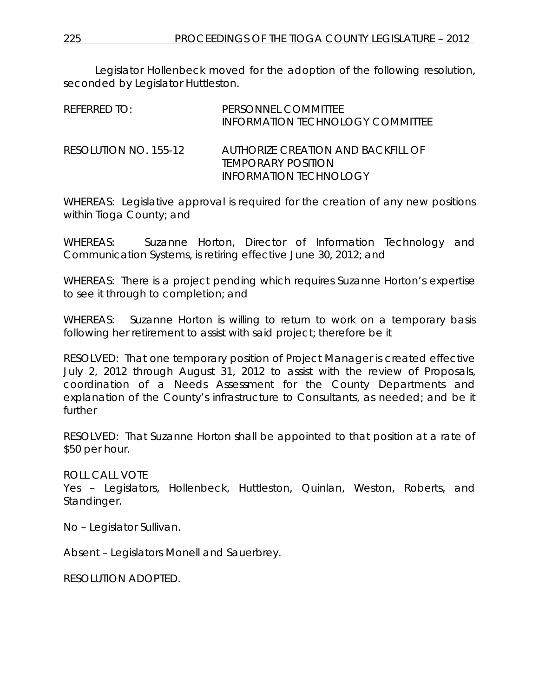Legislator Hollenbeck moved for the adoption of the following resolution, seconded by Legislator Huttleston.

| REFERRED TO:          | PERSONNEL COMMITTEE<br><b>INFORMATION TECHNOLOGY COMMITTEE</b>                                   |
|-----------------------|--------------------------------------------------------------------------------------------------|
| RESOLUTION NO. 155-12 | AUTHORIZE CREATION AND BACKFILL OF<br><i><b>TEMPORARY POSITION</b></i><br>INFORMATION TECHNOLOGY |

WHEREAS: Legislative approval is required for the creation of any new positions within Tioga County; and

WHEREAS: Suzanne Horton, Director of Information Technology and Communication Systems, is retiring effective June 30, 2012; and

WHEREAS: There is a project pending which requires Suzanne Horton's expertise to see it through to completion; and

WHEREAS: Suzanne Horton is willing to return to work on a temporary basis following her retirement to assist with said project; therefore be it

RESOLVED: That one temporary position of Project Manager is created effective July 2, 2012 through August 31, 2012 to assist with the review of Proposals, coordination of a Needs Assessment for the County Departments and explanation of the County's infrastructure to Consultants, as needed; and be it further

RESOLVED: That Suzanne Horton shall be appointed to that position at a rate of \$50 per hour.

ROLL CALL VOTE

Yes – Legislators, Hollenbeck, Huttleston, Quinlan, Weston, Roberts, and Standinger.

No – Legislator Sullivan.

Absent – Legislators Monell and Sauerbrey.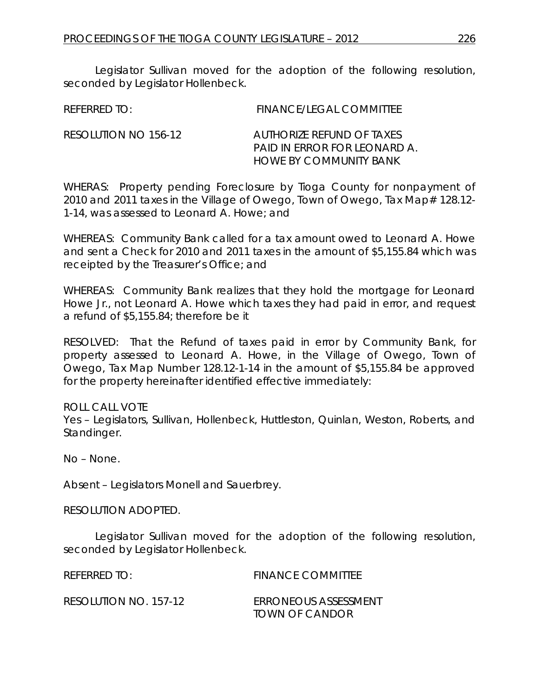Legislator Sullivan moved for the adoption of the following resolution, seconded by Legislator Hollenbeck.

REFERRED TO: FINANCE/LEGAL COMMITTEE RESOLUTION NO 156-12 *AUTHORIZE REFUND OF TAXES PAID IN ERROR FOR LEONARD A.*

WHERAS: Property pending Foreclosure by Tioga County for nonpayment of 2010 and 2011 taxes in the Village of Owego, Town of Owego, Tax Map# 128.12- 1-14, was assessed to Leonard A. Howe; and

*HOWE BY COMMUNITY BANK*

WHEREAS: Community Bank called for a tax amount owed to Leonard A. Howe and sent a Check for 2010 and 2011 taxes in the amount of \$5,155.84 which was receipted by the Treasurer's Office; and

WHEREAS: Community Bank realizes that they hold the mortgage for Leonard Howe Jr., not Leonard A. Howe which taxes they had paid in error, and request a refund of \$5,155.84; therefore be it

RESOLVED: That the Refund of taxes paid in error by Community Bank, for property assessed to Leonard A. Howe, in the Village of Owego, Town of Owego, Tax Map Number 128.12-1-14 in the amount of \$5,155.84 be approved for the property hereinafter identified effective immediately:

ROLL CALL VOTE Yes – Legislators, Sullivan, Hollenbeck, Huttleston, Quinlan, Weston, Roberts, and Standinger.

No – None.

Absent – Legislators Monell and Sauerbrey.

RESOLUTION ADOPTED.

Legislator Sullivan moved for the adoption of the following resolution, seconded by Legislator Hollenbeck.

REFERRED TO: FINANCE COMMITTEE

RESOLUTION NO. 157-12 *ERRONEOUS ASSESSMENT TOWN OF CANDOR*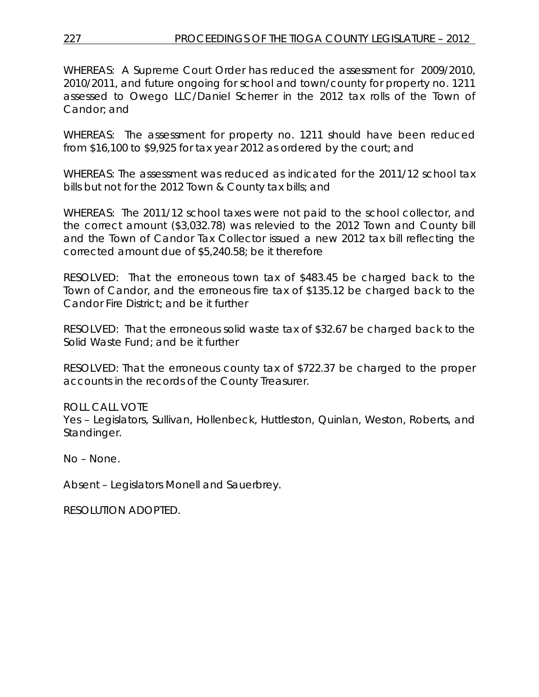WHEREAS: A Supreme Court Order has reduced the assessment for 2009/2010, 2010/2011, and future ongoing for school and town/county for property no. 1211 assessed to Owego LLC/Daniel Scherrer in the 2012 tax rolls of the Town of Candor; and

WHEREAS: The assessment for property no. 1211 should have been reduced from \$16,100 to \$9,925 for tax year 2012 as ordered by the court; and

WHEREAS: The assessment was reduced as indicated for the 2011/12 school tax bills but not for the 2012 Town & County tax bills; and

WHEREAS: The 2011/12 school taxes were not paid to the school collector, and the correct amount (\$3,032.78) was relevied to the 2012 Town and County bill and the Town of Candor Tax Collector issued a new 2012 tax bill reflecting the corrected amount due of \$5,240.58; be it therefore

RESOLVED: That the erroneous town tax of \$483.45 be charged back to the Town of Candor, and the erroneous fire tax of \$135.12 be charged back to the Candor Fire District; and be it further

RESOLVED: That the erroneous solid waste tax of \$32.67 be charged back to the Solid Waste Fund; and be it further

RESOLVED: That the erroneous county tax of \$722.37 be charged to the proper accounts in the records of the County Treasurer.

ROLL CALL VOTE Yes – Legislators, Sullivan, Hollenbeck, Huttleston, Quinlan, Weston, Roberts, and Standinger.

No – None.

Absent – Legislators Monell and Sauerbrey.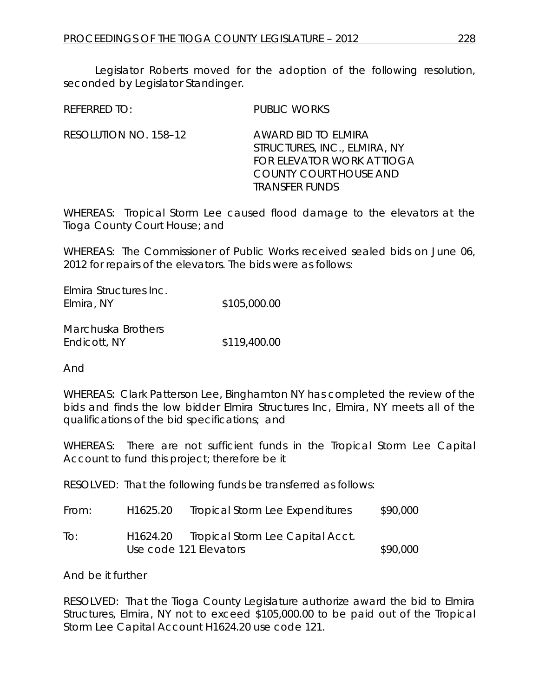Legislator Roberts moved for the adoption of the following resolution, seconded by Legislator Standinger.

| <b>REFERRED TO:</b> | <b>PUBLIC WORKS</b> |
|---------------------|---------------------|
|                     |                     |

RESOLUTION NO. 158–12 *AWARD BID TO ELMIRA*

*STRUCTURES, INC., ELMIRA, NY FOR ELEVATOR WORK AT TIOGA COUNTY COURT HOUSE AND TRANSFER FUNDS*

WHEREAS: Tropical Storm Lee caused flood damage to the elevators at the Tioga County Court House; and

WHEREAS: The Commissioner of Public Works received sealed bids on June 06, 2012 for repairs of the elevators. The bids were as follows:

| Elmira Structures Inc. |              |
|------------------------|--------------|
| Elmira, NY             | \$105,000.00 |
|                        |              |
| Marchuska Brothers     |              |
| Endicott, NY           | \$119,400.00 |

And

WHEREAS: Clark Patterson Lee, Binghamton NY has completed the review of the bids and finds the low bidder Elmira Structures Inc, Elmira, NY meets all of the qualifications of the bid specifications; and

WHEREAS: There are not sufficient funds in the Tropical Storm Lee Capital Account to fund this project; therefore be it

RESOLVED: That the following funds be transferred as follows:

| From: | H1625.20               | Tropical Storm Lee Expenditures                       | \$90,000 |
|-------|------------------------|-------------------------------------------------------|----------|
| To:   | Use code 121 Elevators | H <sub>1624.20</sub> Tropical Storm Lee Capital Acct. | \$90,000 |

And be it further

RESOLVED: That the Tioga County Legislature authorize award the bid to Elmira Structures, Elmira, NY not to exceed \$105,000.00 to be paid out of the Tropical Storm Lee Capital Account H1624.20 use code 121.